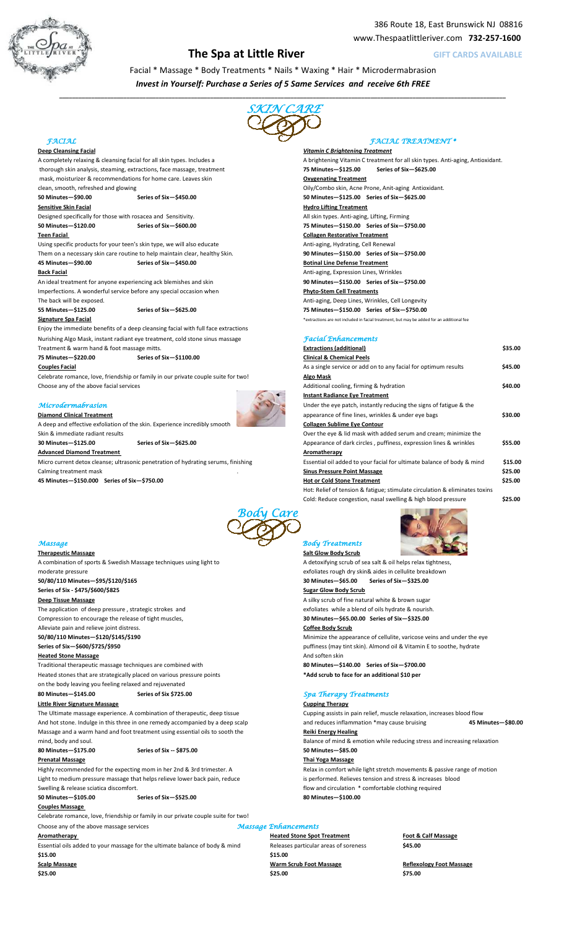

# **The Spa at Little River CARDS AVAILABLE GIFT CARDS AVAILABLE**

Facial \* Massage \* Body Treatments \* Nails \* Waxing \* Hair \* Microdermabrasion *Invest in Yourself: Purchase a Series of 5 Same Services and receive 6th FREE* 

*\_\_\_\_\_\_\_\_\_\_\_\_\_\_\_\_\_\_\_\_\_\_\_\_\_\_\_\_\_\_\_\_\_\_\_\_\_\_\_\_\_\_\_\_\_\_\_\_\_\_\_\_\_\_\_\_\_\_\_\_\_\_\_\_\_\_\_\_\_\_\_\_\_\_\_\_\_\_\_\_\_\_\_\_\_\_\_\_\_\_\_\_\_\_\_\_\_\_\_\_\_\_\_\_\_\_\_\_\_\_\_\_\_\_\_\_\_\_\_\_\_\_\_\_\_\_\_\_\_\_\_\_\_\_\_\_\_\_\_* 



thorough skin analysis, steaming, extractions, face massage, treatment **75 Minutes 75 Minutes 5125.00** Series of Six -\$625.00 mask, moisturizer & recommendations for home care. Leaves skin **Carry Comment of Comment** 

**50 Minutes—\$90.00 Series of Six—\$450.00 50 Minutes—\$125.00 Series of Six—\$225.00**

Designed specifically for those with rosacea and Sensitivity. All skin types. Anti-aging, Lifting, Firming

Using specific products for your teen's skin type, we will also educate Anti-aging, Hydrating, Cell Renewal Them on a necessary skin care routine to help maintain clear, healthy Skin. **90 Minutes-\$150.00 Series of Six-\$750.00** 

 An ideal treatment for anyone experiencing ack blemishes and skin **90 Minutes—\$150.00 Series of Six—\$750.00** Imperfections. A wonderful service before any special occasion when **Phyto-Stem Cell Treatments** The back will be exposed. Anti-aging, Deep Lines, Wrinkles, Cell Longevity

**Signature Spa Facial Supplement and Constant Constant of the System** of the structure of the structure of the structure of the structure of the structure of the structure of the structure of the structure of the structu

Enjoy the immediate benefits of a deep cleansing facial with full face extractions Nurishing Algo Mask, instant radiant eye treatment, cold stone sinus massage Facial Enhancements

# $Microdermabrasion$



# FACIAL FACIAL TREATMENT \*

 **Deep Cleansing Facial** *Vitamin C Brightening Treatment* A completely relaxing & cleansing facial for all skin types. Includes a A brightening Vitamin C treatment for all skin types. Anti-aging, Antioxidant. clean, smooth, refreshed and glowing **Oily/Combo skin, Acne Prone, Anit-aging Antioxidant. Sensitive Skin Facial Agency of the Skin Facial Hydro Lifting Treatment 50 Minutes—\$120.00 Series of Six—\$200.00 75 Minutes—\$150.00 Series of Six—\$750.00 Teen Facial Collagen Restorative Treatment 45 Minutes—\$90.00 Series of Six—\$450.00 Botinal Line Defense Treatment Back Facial Back Facial <b>Anti-aging, Expression Lines**, Wrinkles **55 Minutes—\$125.00 Series of Six—\$225.00 75 Minutes—\$150.00 Series of Six—\$750.00**

| Treatment & warm hand & foot massage mitts.                                        |                         | <b>Extractions (additional)</b>                                             | \$35.00 |
|------------------------------------------------------------------------------------|-------------------------|-----------------------------------------------------------------------------|---------|
| 75 Minutes-\$220.00                                                                | Series of Six-\$1100.00 | <b>Clinical &amp; Chemical Peels</b>                                        |         |
| <b>Couples Facial</b>                                                              |                         | As a single service or add on to any facial for optimum results             | \$45.00 |
| Celebrate romance, love, friendship or family in our private couple suite for two! |                         | Algo Mask                                                                   |         |
| Choose any of the above facial services                                            |                         | Additional cooling, firming & hydration                                     | \$40.00 |
|                                                                                    |                         | <b>Instant Radiance Eye Treatment</b>                                       |         |
| <i><b>Microdermabrasion</b></i>                                                    |                         | Under the eye patch, instantly reducing the signs of fatigue & the          |         |
| <b>Diamond Clinical Treatment</b>                                                  |                         | appearance of fine lines, wrinkles & under eye bags                         | \$30.00 |
| A deep and effective exfoliation of the skin. Experience incredibly smooth         |                         | <b>Collagen Sublime Eye Contour</b>                                         |         |
| Skin & immediate radiant results                                                   |                         | Over the eye & lid mask with added serum and cream; minimize the            |         |
| 30 Minutes-\$125.00                                                                | Series of Six-\$625.00  | Appearance of dark circles, puffiness, expression lines & wrinkles          | \$55.00 |
| <b>Advanced Diamond Treatment</b>                                                  |                         | Aromatherapy                                                                |         |
| Micro current detox cleanse; ultrasonic penetration of hydrating serums, finishing |                         | Essential oil added to your facial for ultimate balance of body & mind      | \$15.00 |
| Calming treatment mask                                                             |                         | <b>Sinus Pressure Point Massage</b>                                         | \$25.00 |
| 45 Minutes-\$150.000 Series of Six-\$750.00                                        |                         | <b>Hot or Cold Stone Treatment</b>                                          | \$25.00 |
|                                                                                    |                         | Hot: Relief of tension & fatigue; stimulate circulation & eliminates toxins |         |
|                                                                                    |                         | Cold: Reduce congestion, nasal swelling & high blood pressure               | \$25.00 |



 **Therapeutic Massage Salt Glow Body Scrub** A combination of sports & Swedish Massage techniques using light to A detoxifying scrub of sea salt & oil helps relax tightness, moderate pressure exfoliates rough dry skin& aides in cellulite breakdown  **50/80/110 Minutes—\$95/\$120/\$125 30 Minutes—\$25.00 Series of Six—\$325.00 Series of Six - \$475/\$600/\$825** Series of Six - \$475/\$600/\$825 **Deep Tissue Massage A silky scrub of fine natural white & brown sugare** A silky scrub of fine natural white & brown sugare The application of deep pressure , strategic strokes and exfoliates while a blend of oils hydrate & nourish. Compression to encourage the release of tight muscles, **30 Minutes** - \$65.00.00 Series of Six-\$325.00 Alleviate pain and relieve joint distress. **Coffee Body Scrub 50/80/110 Minutes—\$120/\$145/\$190** Minimize the appearance of cellulite, varicose veins and under the eye  **Series of Six—\$200/\$725/\$950** puffiness (may tint skin). Almond oil & Vitamin E to soothe, hydrate **Heated Stone Massage And soften skinner and soften skinner and soften skinner and soften skinner and soften skinner and soften skinner and soften skinner and soften skinner and soften skinner and soften skinner and soft** 

Heated stones that are strategically placed on various pressure points **\*Add scrub to face for an additional \$10 per** 

 on the body leaving you feeling relaxed and rejuvenated 80 Minutes—\$145.00 Series of Six \$725.00 Series of Six \$725.00

**Little River Signature Massage**<br>The Ultimate massage experience. A combination of therapeutic, deep tissue<br>Cupping assists in pain relief. muscle relaxation. increases blood flow The Ultimate massage experience. A combination of therapeutic, deep tissue Massage and a warm hand and foot treatment using essential oils to sooth the **Reiki Energy Healing Reiki Energy Healing** 

**80 Minutes—\$175.00 Series of Six -- \$875.00 50 Minutes—\$85.00**

 **Prenatal Massage Thai Yoga Massage**

Light to medium pressure massage that helps relieve lower back pain, reduce is performed. Relieves tension and stress & increases blood Swelling & release sciatica discomfort. The state of the state of the state of the state of the state of the state of the state of the state of the state of the state of the state of the state of the state of the state of

# **Couples Massage**

 Celebrate romance, love, friendship or family in our private couple suite for two! Choose any of the above massage services Massage Enhancements

 Essential oils added to your massage for the ultimate balance of body & mind Releases particular areas of soreness **\$45.00 \$15.00 \$15.00** 

# **Body Treatments**



Traditional therapeutic massage techniques are combined with **80 Minutes—\$140.00 Series of Six—\$700.00** 

And hot stone. Indulge in this three in one remedy accompanied by a deep scalp and reduces inflammation \*may cause bruising **45 Minutes—\$80.00**

mind, body and soul. Balance of mind & emotion while reducing stress and increasing relaxation

Highly recommended for the expecting mom in her 2nd & 3rd trimester. A Relax in comfort while light stretch movements & passive range of motion  **50 Minutes—\$105.00 Series of Six—\$525.00 80 Minutes—\$100.00**

 **Aromatherapy Heated Stone Spot Treatment Foot & Calf Massage**

 **\$25.00 \$25.00 \$75.00** 

**Scalp Massage Scalp Massage Reflexology Foot Massage Reflexology Foot Massage Reflexology Foot Massage**